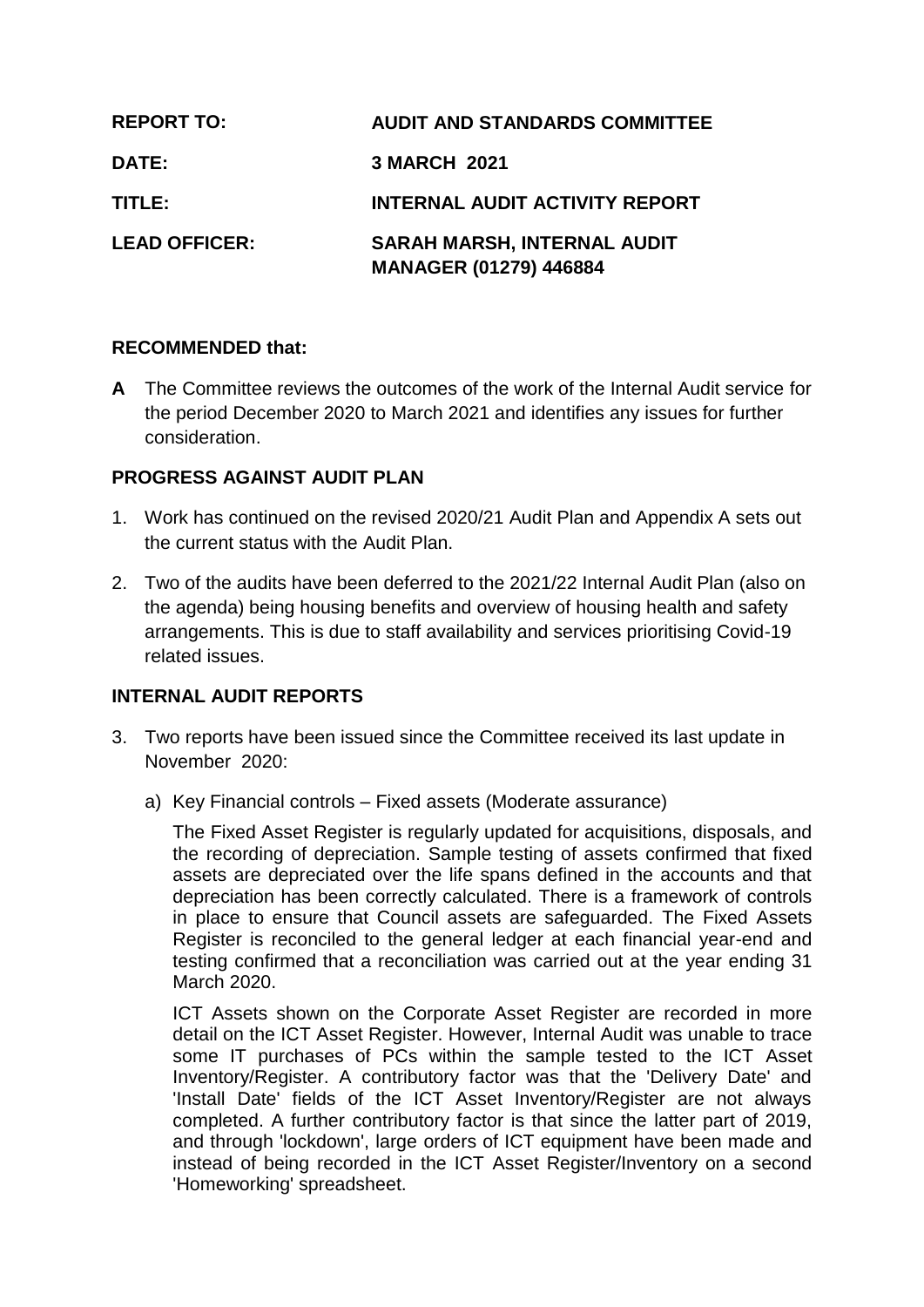| <b>REPORT TO:</b>    | <b>AUDIT AND STANDARDS COMMITTEE</b>                                |
|----------------------|---------------------------------------------------------------------|
| <b>DATE:</b>         | <b>3 MARCH 2021</b>                                                 |
| TITLE:               | <b>INTERNAL AUDIT ACTIVITY REPORT</b>                               |
| <b>LEAD OFFICER:</b> | <b>SARAH MARSH, INTERNAL AUDIT</b><br><b>MANAGER (01279) 446884</b> |

# **RECOMMENDED that:**

**A** The Committee reviews the outcomes of the work of the Internal Audit service for the period December 2020 to March 2021 and identifies any issues for further consideration.

# **PROGRESS AGAINST AUDIT PLAN**

- 1. Work has continued on the revised 2020/21 Audit Plan and Appendix A sets out the current status with the Audit Plan.
- 2. Two of the audits have been deferred to the 2021/22 Internal Audit Plan (also on the agenda) being housing benefits and overview of housing health and safety arrangements. This is due to staff availability and services prioritising Covid-19 related issues.

# **INTERNAL AUDIT REPORTS**

- 3. Two reports have been issued since the Committee received its last update in November 2020:
	- a) Key Financial controls Fixed assets (Moderate assurance)

The Fixed Asset Register is regularly updated for acquisitions, disposals, and the recording of depreciation. Sample testing of assets confirmed that fixed assets are depreciated over the life spans defined in the accounts and that depreciation has been correctly calculated. There is a framework of controls in place to ensure that Council assets are safeguarded. The Fixed Assets Register is reconciled to the general ledger at each financial year-end and testing confirmed that a reconciliation was carried out at the year ending 31 March 2020.

ICT Assets shown on the Corporate Asset Register are recorded in more detail on the ICT Asset Register. However, Internal Audit was unable to trace some IT purchases of PCs within the sample tested to the ICT Asset Inventory/Register. A contributory factor was that the 'Delivery Date' and 'Install Date' fields of the ICT Asset Inventory/Register are not always completed. A further contributory factor is that since the latter part of 2019, and through 'lockdown', large orders of ICT equipment have been made and instead of being recorded in the ICT Asset Register/Inventory on a second 'Homeworking' spreadsheet.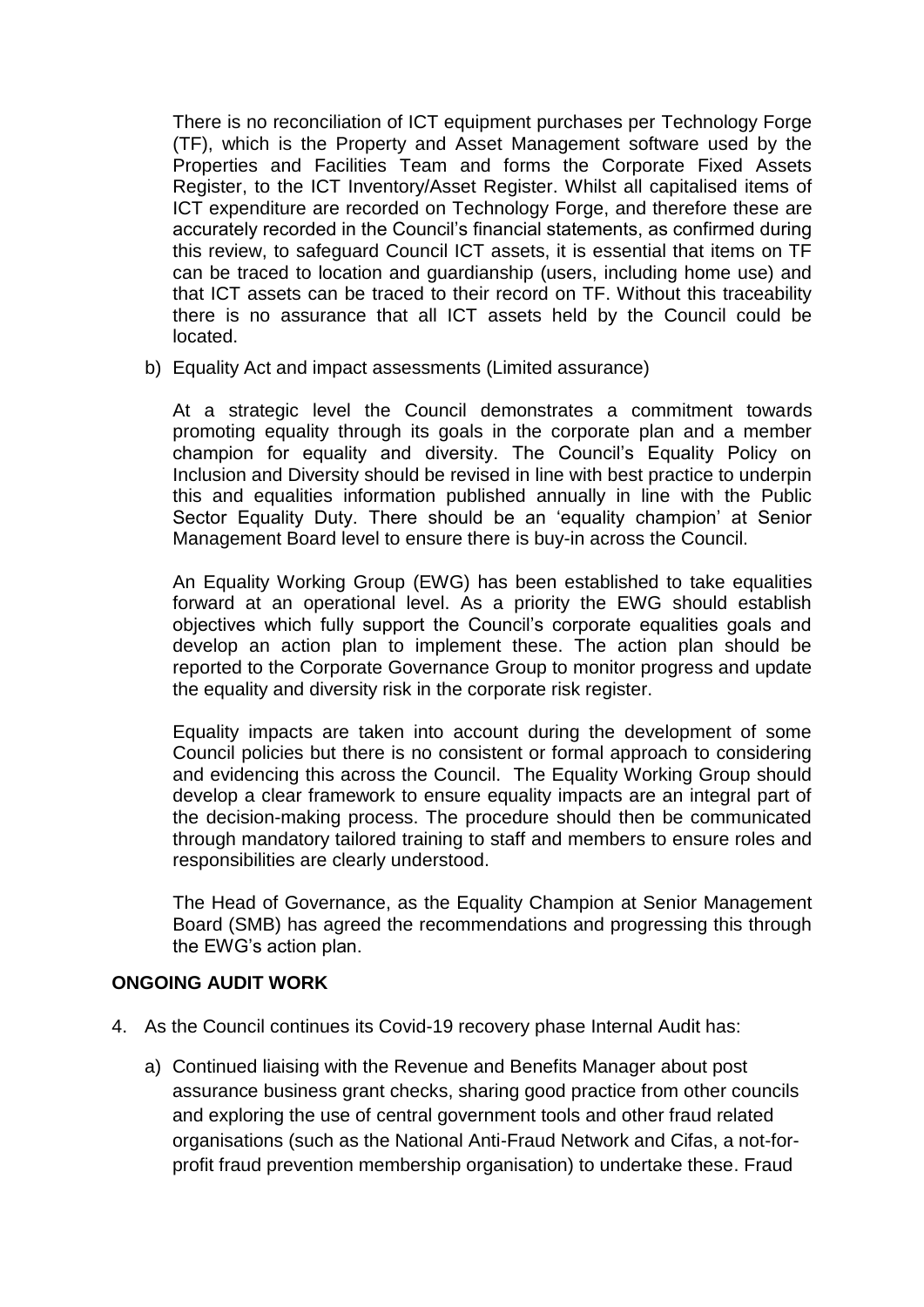There is no reconciliation of ICT equipment purchases per Technology Forge (TF), which is the Property and Asset Management software used by the Properties and Facilities Team and forms the Corporate Fixed Assets Register, to the ICT Inventory/Asset Register. Whilst all capitalised items of ICT expenditure are recorded on Technology Forge, and therefore these are accurately recorded in the Council's financial statements, as confirmed during this review, to safeguard Council ICT assets, it is essential that items on TF can be traced to location and guardianship (users, including home use) and that ICT assets can be traced to their record on TF. Without this traceability there is no assurance that all ICT assets held by the Council could be located.

b) Equality Act and impact assessments (Limited assurance)

At a strategic level the Council demonstrates a commitment towards promoting equality through its goals in the corporate plan and a member champion for equality and diversity. The Council's Equality Policy on Inclusion and Diversity should be revised in line with best practice to underpin this and equalities information published annually in line with the Public Sector Equality Duty. There should be an 'equality champion' at Senior Management Board level to ensure there is buy-in across the Council.

An Equality Working Group (EWG) has been established to take equalities forward at an operational level. As a priority the EWG should establish objectives which fully support the Council's corporate equalities goals and develop an action plan to implement these. The action plan should be reported to the Corporate Governance Group to monitor progress and update the equality and diversity risk in the corporate risk register.

Equality impacts are taken into account during the development of some Council policies but there is no consistent or formal approach to considering and evidencing this across the Council. The Equality Working Group should develop a clear framework to ensure equality impacts are an integral part of the decision-making process. The procedure should then be communicated through mandatory tailored training to staff and members to ensure roles and responsibilities are clearly understood.

The Head of Governance, as the Equality Champion at Senior Management Board (SMB) has agreed the recommendations and progressing this through the EWG's action plan.

# **ONGOING AUDIT WORK**

- 4. As the Council continues its Covid-19 recovery phase Internal Audit has:
	- a) Continued liaising with the Revenue and Benefits Manager about post assurance business grant checks, sharing good practice from other councils and exploring the use of central government tools and other fraud related organisations (such as the National Anti-Fraud Network and Cifas, a not-forprofit fraud prevention membership organisation) to undertake these. Fraud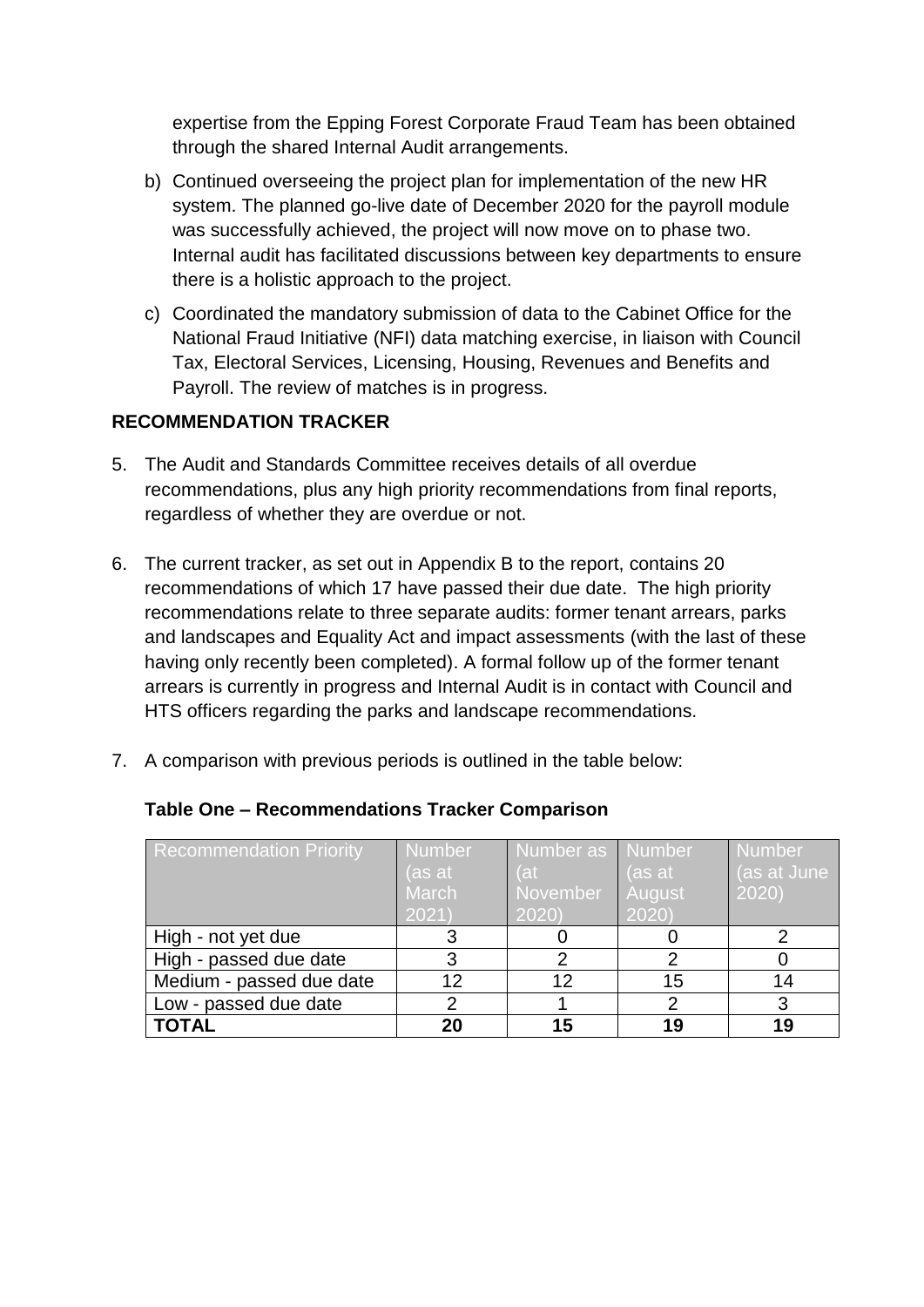expertise from the Epping Forest Corporate Fraud Team has been obtained through the shared Internal Audit arrangements.

- b) Continued overseeing the project plan for implementation of the new HR system. The planned go-live date of December 2020 for the payroll module was successfully achieved, the project will now move on to phase two. Internal audit has facilitated discussions between key departments to ensure there is a holistic approach to the project.
- c) Coordinated the mandatory submission of data to the Cabinet Office for the National Fraud Initiative (NFI) data matching exercise, in liaison with Council Tax, Electoral Services, Licensing, Housing, Revenues and Benefits and Payroll. The review of matches is in progress.

# **RECOMMENDATION TRACKER**

- 5. The Audit and Standards Committee receives details of all overdue recommendations, plus any high priority recommendations from final reports, regardless of whether they are overdue or not.
- 6. The current tracker, as set out in Appendix B to the report, contains 20 recommendations of which 17 have passed their due date. The high priority recommendations relate to three separate audits: former tenant arrears, parks and landscapes and Equality Act and impact assessments (with the last of these having only recently been completed). A formal follow up of the former tenant arrears is currently in progress and Internal Audit is in contact with Council and HTS officers regarding the parks and landscape recommendations.
- 7. A comparison with previous periods is outlined in the table below:

| <b>Recommendation Priority</b> | <b>Number</b> | Number as Number |               | <b>Number</b> |
|--------------------------------|---------------|------------------|---------------|---------------|
|                                | (as at        | (at              | (as at        | (as at June   |
|                                | March         | November         | <b>August</b> | 2020)         |
|                                | 2021)         | 2020             | 2020          |               |
| High - not yet due             |               |                  |               |               |
| High - passed due date         | 3             |                  |               |               |
| Medium - passed due date       | 12            | 12               | 15            | 14            |
| Low - passed due date          |               |                  |               |               |
| <b>TOTAL</b>                   | 20            | 15               | 19            | 19            |

# **Table One – Recommendations Tracker Comparison**